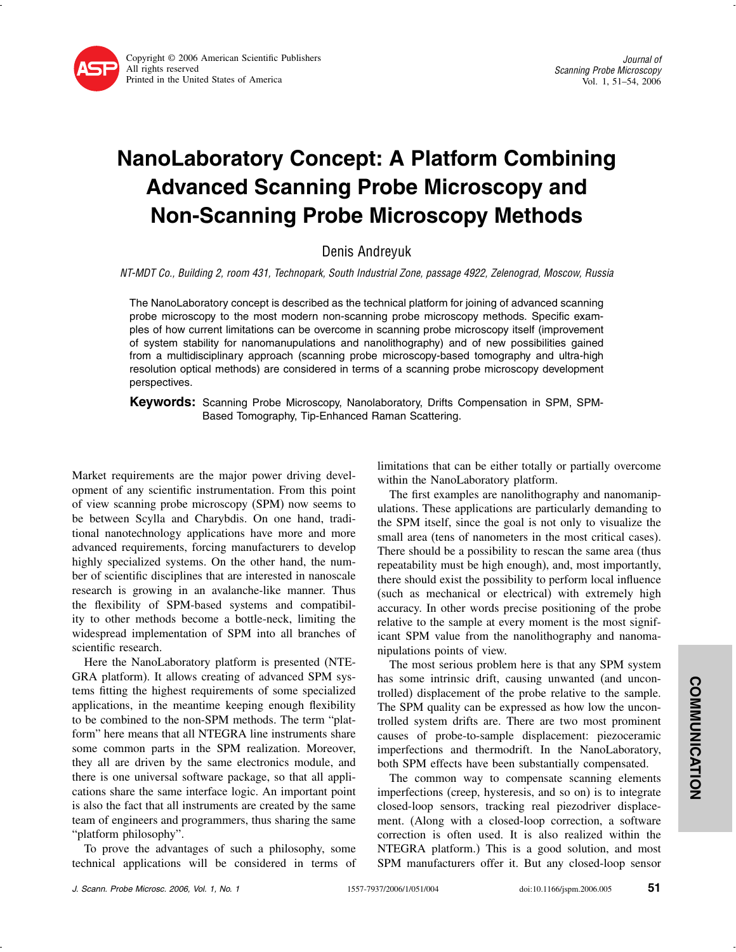

## NanoLaboratory Concept: A Platform Combining Advanced Scanning Probe Microscopy and Non-Scanning Probe Microscopy Methods

Denis Andreyuk

NT-MDT Co., Building 2, room 431, Technopark, South Industrial Zone, passage 4922, Zelenograd, Moscow, Russia

The NanoLaboratory concept is described as the technical platform for joining of advanced scanning probe microscopy to the most modern non-scanning probe microscopy methods. Specific examples of how current limitations can be overcome in scanning probe microscopy itself (improvement of system stability for nanomanupulations and nanolithography) and of new possibilities gained from a multidisciplinary approach (scanning probe microscopy-based tomography and ultra-high resolution optical methods) are considered in terms of a scanning probe microscopy development perspectives.

**Keywords:** Scanning Probe Microscopy, Nanolaboratory, Drifts Compensation in SPM, SPM-Based Tomography, Tip-Enhanced Raman Scattering.

Market requirements are the major power driving development of any scientific instrumentation. From this point of view scanning probe microscopy (SPM) now seems to be between Scylla and Charybdis. On one hand, traditional nanotechnology applications have more and more advanced requirements, forcing manufacturers to develop highly specialized systems. On the other hand, the number of scientific disciplines that are interested in nanoscale research is growing in an avalanche-like manner. Thus the flexibility of SPM-based systems and compatibility to other methods become a bottle-neck, limiting the widespread implementation of SPM into all branches of scientific research.

Here the NanoLaboratory platform is presented (NTE-GRA platform). It allows creating of advanced SPM systems fitting the highest requirements of some specialized applications, in the meantime keeping enough flexibility to be combined to the non-SPM methods. The term "platform" here means that all NTEGRA line instruments share some common parts in the SPM realization. Moreover, they all are driven by the same electronics module, and there is one universal software package, so that all applications share the same interface logic. An important point is also the fact that all instruments are created by the same team of engineers and programmers, thus sharing the same "platform philosophy".

To prove the advantages of such a philosophy, some technical applications will be considered in terms of limitations that can be either totally or partially overcome within the NanoLaboratory platform.

The first examples are nanolithography and nanomanipulations. These applications are particularly demanding to the SPM itself, since the goal is not only to visualize the small area (tens of nanometers in the most critical cases). There should be a possibility to rescan the same area (thus repeatability must be high enough), and, most importantly, there should exist the possibility to perform local influence (such as mechanical or electrical) with extremely high accuracy. In other words precise positioning of the probe relative to the sample at every moment is the most significant SPM value from the nanolithography and nanomanipulations points of view.

The most serious problem here is that any SPM system has some intrinsic drift, causing unwanted (and uncontrolled) displacement of the probe relative to the sample. The SPM quality can be expressed as how low the uncontrolled system drifts are. There are two most prominent causes of probe-to-sample displacement: piezoceramic imperfections and thermodrift. In the NanoLaboratory, both SPM effects have been substantially compensated.

The common way to compensate scanning elements imperfections (creep, hysteresis, and so on) is to integrate closed-loop sensors, tracking real piezodriver displacement. (Along with a closed-loop correction, a software correction is often used. It is also realized within the NTEGRA platform.) This is a good solution, and most SPM manufacturers offer it. But any closed-loop sensor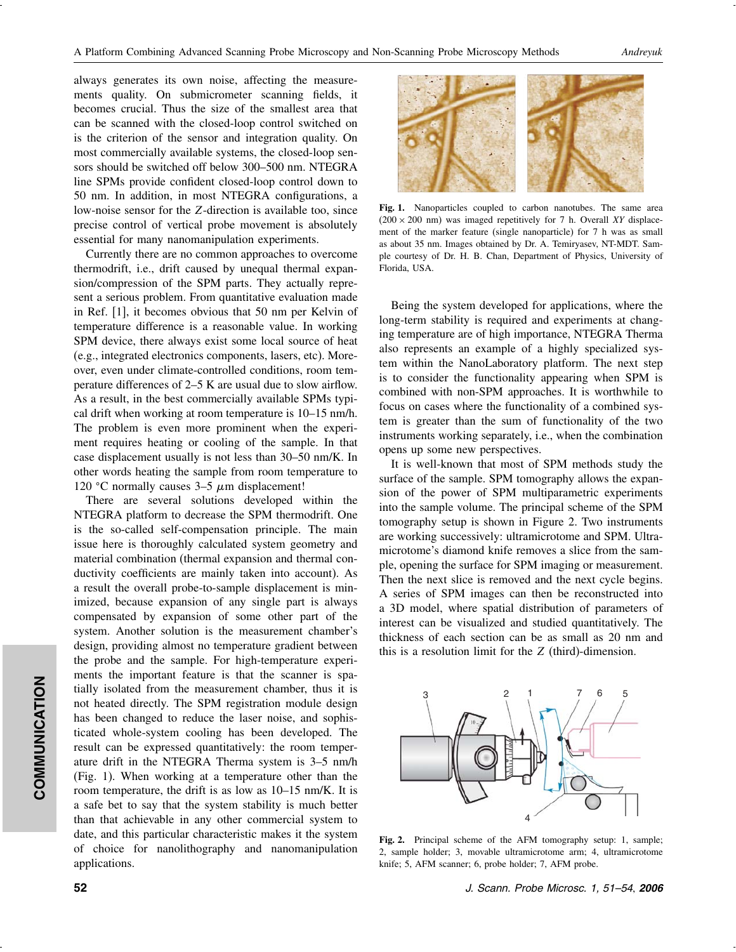always generates its own noise, affecting the measurements quality. On submicrometer scanning fields, it becomes crucial. Thus the size of the smallest area that can be scanned with the closed-loop control switched on is the criterion of the sensor and integration quality. On most commercially available systems, the closed-loop sensors should be switched off below 300–500 nm. NTEGRA line SPMs provide confident closed-loop control down to 50 nm. In addition, in most NTEGRA configurations, a low-noise sensor for the Z-direction is available too, since precise control of vertical probe movement is absolutely essential for many nanomanipulation experiments.

Currently there are no common approaches to overcome thermodrift, i.e., drift caused by unequal thermal expansion/compression of the SPM parts. They actually represent a serious problem. From quantitative evaluation made in Ref. [1], it becomes obvious that 50 nm per Kelvin of temperature difference is a reasonable value. In working SPM device, there always exist some local source of heat (e.g., integrated electronics components, lasers, etc). Moreover, even under climate-controlled conditions, room temperature differences of 2–5 K are usual due to slow airflow. As a result, in the best commercially available SPMs typical drift when working at room temperature is 10–15 nm/h. The problem is even more prominent when the experiment requires heating or cooling of the sample. In that case displacement usually is not less than 30–50 nm/K. In other words heating the sample from room temperature to 120 °C normally causes  $3-5 \mu m$  displacement!

There are several solutions developed within the NTEGRA platform to decrease the SPM thermodrift. One is the so-called self-compensation principle. The main issue here is thoroughly calculated system geometry and material combination (thermal expansion and thermal conductivity coefficients are mainly taken into account). As a result the overall probe-to-sample displacement is minimized, because expansion of any single part is always compensated by expansion of some other part of the system. Another solution is the measurement chamber's design, providing almost no temperature gradient between the probe and the sample. For high-temperature experiments the important feature is that the scanner is spatially isolated from the measurement chamber, thus it is not heated directly. The SPM registration module design has been changed to reduce the laser noise, and sophisticated whole-system cooling has been developed. The result can be expressed quantitatively: the room temperature drift in the NTEGRA Therma system is 3–5 nm/h (Fig. 1). When working at a temperature other than the room temperature, the drift is as low as 10–15 nm/K. It is a safe bet to say that the system stability is much better than that achievable in any other commercial system to date, and this particular characteristic makes it the system of choice for nanolithography and nanomanipulation applications.



Fig. 1. Nanoparticles coupled to carbon nanotubes. The same area  $(200 \times 200 \text{ nm})$  was imaged repetitively for 7 h. Overall *XY* displacement of the marker feature (single nanoparticle) for 7 h was as small as about 35 nm. Images obtained by Dr. A. Temiryasev, NT-MDT. Sample courtesy of Dr. H. B. Chan, Department of Physics, University of Florida, USA.

Being the system developed for applications, where the long-term stability is required and experiments at changing temperature are of high importance, NTEGRA Therma also represents an example of a highly specialized system within the NanoLaboratory platform. The next step is to consider the functionality appearing when SPM is combined with non-SPM approaches. It is worthwhile to focus on cases where the functionality of a combined system is greater than the sum of functionality of the two instruments working separately, i.e., when the combination opens up some new perspectives.

It is well-known that most of SPM methods study the surface of the sample. SPM tomography allows the expansion of the power of SPM multiparametric experiments into the sample volume. The principal scheme of the SPM tomography setup is shown in Figure 2. Two instruments are working successively: ultramicrotome and SPM. Ultramicrotome's diamond knife removes a slice from the sample, opening the surface for SPM imaging or measurement. Then the next slice is removed and the next cycle begins. A series of SPM images can then be reconstructed into a 3D model, where spatial distribution of parameters of interest can be visualized and studied quantitatively. The thickness of each section can be as small as 20 nm and this is a resolution limit for the Z (third)-dimension.



Fig. 2. Principal scheme of the AFM tomography setup: 1, sample; 2, sample holder; 3, movable ultramicrotome arm; 4, ultramicrotome knife; 5, AFM scanner; 6, probe holder; 7, AFM probe.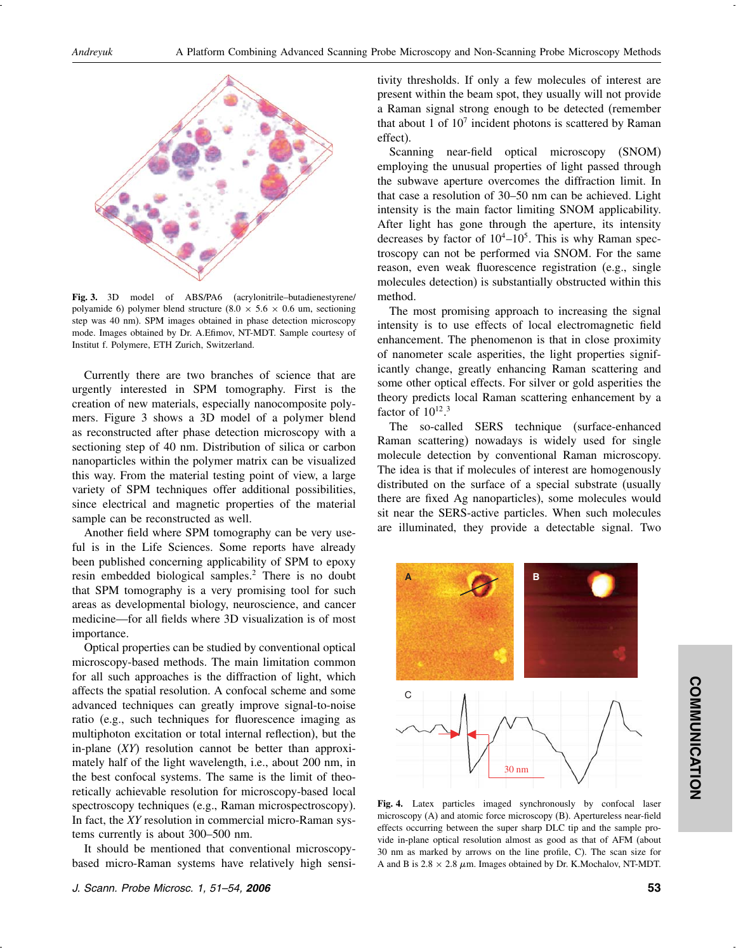

Fig. 3. 3D model of ABS/PA6 (acrylonitrile–butadienestyrene/ polyamide 6) polymer blend structure  $(8.0 \times 5.6 \times 0.6 \text{ um}, \text{sectioning})$ step was 40 nm). SPM images obtained in phase detection microscopy mode. Images obtained by Dr. A.Efimov, NT-MDT. Sample courtesy of Institut f. Polymere, ETH Zurich, Switzerland.

Currently there are two branches of science that are urgently interested in SPM tomography. First is the creation of new materials, especially nanocomposite polymers. Figure 3 shows a 3D model of a polymer blend as reconstructed after phase detection microscopy with a sectioning step of 40 nm. Distribution of silica or carbon nanoparticles within the polymer matrix can be visualized this way. From the material testing point of view, a large variety of SPM techniques offer additional possibilities, since electrical and magnetic properties of the material sample can be reconstructed as well.

Another field where SPM tomography can be very useful is in the Life Sciences. Some reports have already been published concerning applicability of SPM to epoxy resin embedded biological samples.2 There is no doubt that SPM tomography is a very promising tool for such areas as developmental biology, neuroscience, and cancer medicine—for all fields where 3D visualization is of most importance.

Optical properties can be studied by conventional optical microscopy-based methods. The main limitation common for all such approaches is the diffraction of light, which affects the spatial resolution. A confocal scheme and some advanced techniques can greatly improve signal-to-noise ratio (e.g., such techniques for fluorescence imaging as multiphoton excitation or total internal reflection), but the in-plane (*XY*) resolution cannot be better than approximately half of the light wavelength, i.e., about 200 nm, in the best confocal systems. The same is the limit of theoretically achievable resolution for microscopy-based local spectroscopy techniques (e.g., Raman microspectroscopy). In fact, the *XY* resolution in commercial micro-Raman systems currently is about 300–500 nm.

It should be mentioned that conventional microscopybased micro-Raman systems have relatively high sensi-

tivity thresholds. If only a few molecules of interest are present within the beam spot, they usually will not provide a Raman signal strong enough to be detected (remember that about 1 of  $10<sup>7</sup>$  incident photons is scattered by Raman effect).

Scanning near-field optical microscopy (SNOM) employing the unusual properties of light passed through the subwave aperture overcomes the diffraction limit. In that case a resolution of 30–50 nm can be achieved. Light intensity is the main factor limiting SNOM applicability. After light has gone through the aperture, its intensity decreases by factor of  $10^4 - 10^5$ . This is why Raman spectroscopy can not be performed via SNOM. For the same reason, even weak fluorescence registration (e.g., single molecules detection) is substantially obstructed within this method.

The most promising approach to increasing the signal intensity is to use effects of local electromagnetic field enhancement. The phenomenon is that in close proximity of nanometer scale asperities, the light properties significantly change, greatly enhancing Raman scattering and some other optical effects. For silver or gold asperities the theory predicts local Raman scattering enhancement by a factor of  $10^{12}$ .<sup>3</sup>

The so-called SERS technique (surface-enhanced Raman scattering) nowadays is widely used for single molecule detection by conventional Raman microscopy. The idea is that if molecules of interest are homogenously distributed on the surface of a special substrate (usually there are fixed Ag nanoparticles), some molecules would sit near the SERS-active particles. When such molecules are illuminated, they provide a detectable signal. Two



Fig. 4. Latex particles imaged synchronously by confocal laser microscopy (A) and atomic force microscopy (B). Apertureless near-field effects occurring between the super sharp DLC tip and the sample provide in-plane optical resolution almost as good as that of AFM (about 30 nm as marked by arrows on the line profile, C). The scan size for A and B is  $2.8 \times 2.8 \mu$ m. Images obtained by Dr. K.Mochalov, NT-MDT.